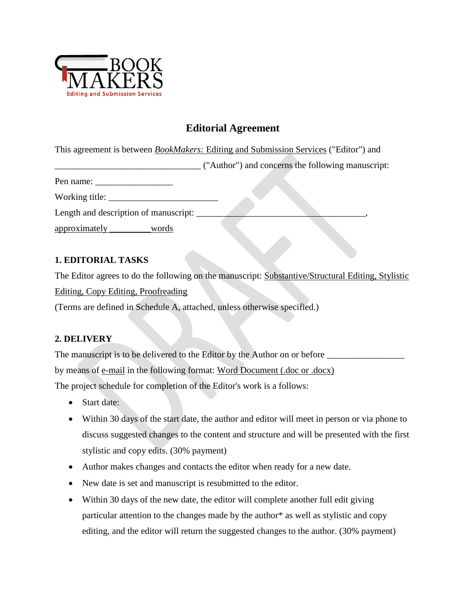

# **Editorial Agreement**

This agreement is between *BookMakers:* Editing and Submission Services ("Editor") and

\_\_\_\_\_\_\_\_\_\_\_\_\_\_\_\_\_\_\_\_\_\_\_\_\_\_\_\_\_\_\_\_ ("Author") and concerns the following manuscript:

Pen name: \_\_\_\_\_\_\_\_\_\_\_\_\_\_\_\_\_

Working title: \_\_\_\_\_\_\_\_\_\_\_\_\_\_\_\_\_\_\_\_\_\_\_\_

Length and description of manuscript:

approximately \_\_\_\_\_\_\_\_\_words

### **1. EDITORIAL TASKS**

The Editor agrees to do the following on the manuscript: Substantive/Structural Editing, Stylistic

Editing, Copy Editing, Proofreading

(Terms are defined in Schedule A, attached, unless otherwise specified.)

### **2. DELIVERY**

The manuscript is to be delivered to the Editor by the Author on or before \_\_\_\_\_\_\_\_\_\_\_\_\_\_\_\_\_ by means of e-mail in the following format: Word Document (.doc or .docx) The project schedule for completion of the Editor's work is a follows:

- Start date:
- Within 30 days of the start date, the author and editor will meet in person or via phone to discuss suggested changes to the content and structure and will be presented with the first stylistic and copy edits. (30% payment)
- Author makes changes and contacts the editor when ready for a new date.
- New date is set and manuscript is resubmitted to the editor.
- Within 30 days of the new date, the editor will complete another full edit giving particular attention to the changes made by the author\* as well as stylistic and copy editing, and the editor will return the suggested changes to the author. (30% payment)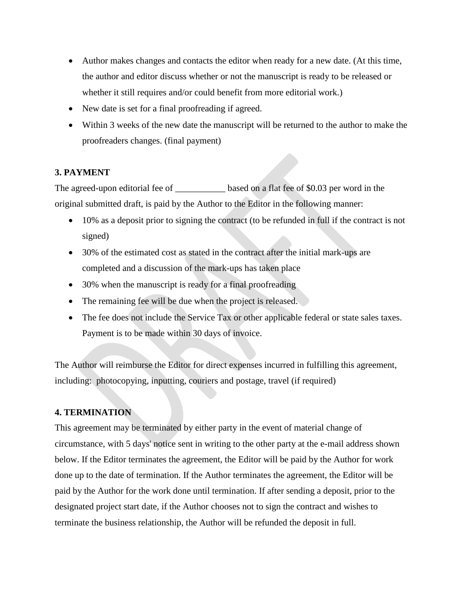- Author makes changes and contacts the editor when ready for a new date. (At this time, the author and editor discuss whether or not the manuscript is ready to be released or whether it still requires and/or could benefit from more editorial work.)
- New date is set for a final proofreading if agreed.
- Within 3 weeks of the new date the manuscript will be returned to the author to make the proofreaders changes. (final payment)

#### **3. PAYMENT**

The agreed-upon editorial fee of \_\_\_\_\_\_\_\_\_\_\_ based on a flat fee of \$0.03 per word in the original submitted draft, is paid by the Author to the Editor in the following manner:

- 10% as a deposit prior to signing the contract (to be refunded in full if the contract is not signed)
- 30% of the estimated cost as stated in the contract after the initial mark-ups are completed and a discussion of the mark-ups has taken place
- 30% when the manuscript is ready for a final proofreading
- The remaining fee will be due when the project is released.
- The fee does not include the Service Tax or other applicable federal or state sales taxes. Payment is to be made within 30 days of invoice.

The Author will reimburse the Editor for direct expenses incurred in fulfilling this agreement, including: photocopying, inputting, couriers and postage, travel (if required)

#### **4. TERMINATION**

This agreement may be terminated by either party in the event of material change of circumstance, with 5 days' notice sent in writing to the other party at the e-mail address shown below. If the Editor terminates the agreement, the Editor will be paid by the Author for work done up to the date of termination. If the Author terminates the agreement, the Editor will be paid by the Author for the work done until termination. If after sending a deposit, prior to the designated project start date, if the Author chooses not to sign the contract and wishes to terminate the business relationship, the Author will be refunded the deposit in full.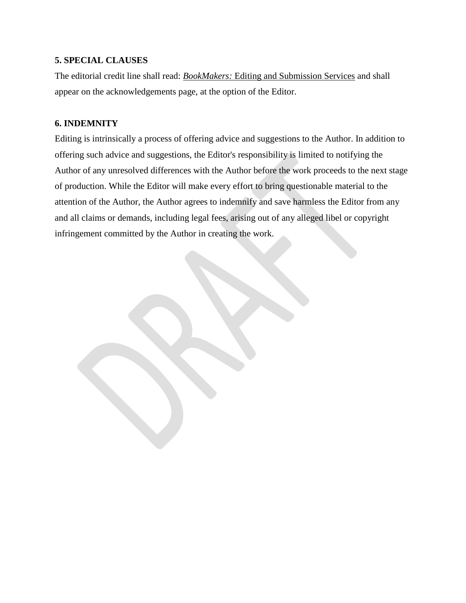#### **5. SPECIAL CLAUSES**

The editorial credit line shall read: *BookMakers:* Editing and Submission Services and shall appear on the acknowledgements page, at the option of the Editor.

#### **6. INDEMNITY**

Editing is intrinsically a process of offering advice and suggestions to the Author. In addition to offering such advice and suggestions, the Editor's responsibility is limited to notifying the Author of any unresolved differences with the Author before the work proceeds to the next stage of production. While the Editor will make every effort to bring questionable material to the attention of the Author, the Author agrees to indemnify and save harmless the Editor from any and all claims or demands, including legal fees, arising out of any alleged libel or copyright infringement committed by the Author in creating the work.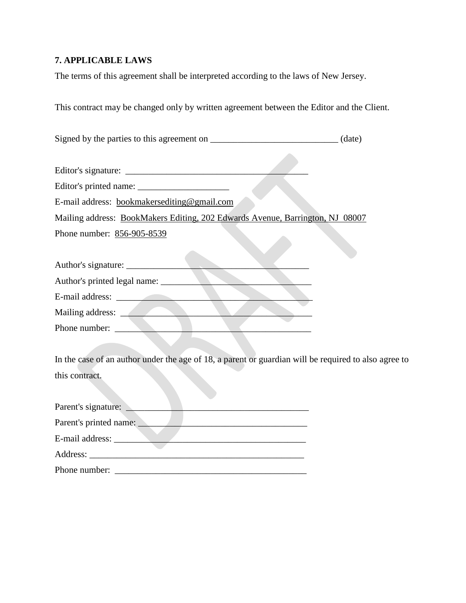## **7. APPLICABLE LAWS**

The terms of this agreement shall be interpreted according to the laws of New Jersey.

This contract may be changed only by written agreement between the Editor and the Client.

 $\mathcal{L}(\mathcal{C})$ 

Signed by the parties to this agreement on \_\_\_\_\_\_\_\_\_\_\_\_\_\_\_\_\_\_\_\_\_\_\_\_\_\_\_\_\_\_\_ (date)

| E-mail address: bookmakersediting@gmail.com                                                          |
|------------------------------------------------------------------------------------------------------|
| Mailing address: BookMakers Editing, 202 Edwards Avenue, Barrington, NJ 08007                        |
| Phone number: 856-905-8539                                                                           |
|                                                                                                      |
| Author's printed legal name:                                                                         |
| E-mail address:                                                                                      |
| Mailing address:                                                                                     |
| Phone number:                                                                                        |
|                                                                                                      |
| In the case of an author under the age of 18, a parent or guardian will be required to also agree to |
| this contract.                                                                                       |

| Parent's signature:    |  |
|------------------------|--|
| Parent's printed name: |  |
| E-mail address: ______ |  |
| Address:               |  |
| Phone number:          |  |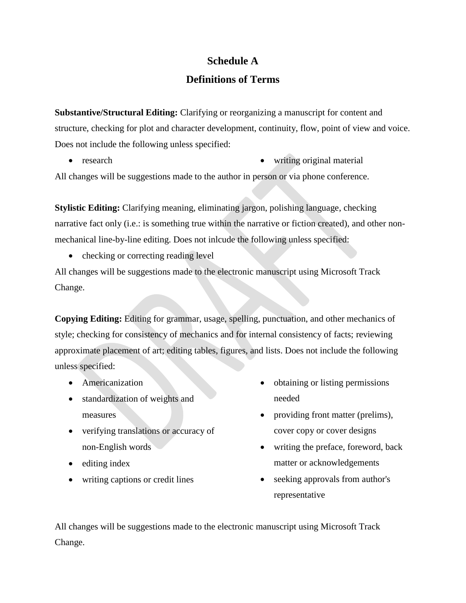# **Schedule A**

## **Definitions of Terms**

**Substantive/Structural Editing:** Clarifying or reorganizing a manuscript for content and structure, checking for plot and character development, continuity, flow, point of view and voice. Does not include the following unless specified:

 research writing original material All changes will be suggestions made to the author in person or via phone conference.

**Stylistic Editing:** Clarifying meaning, eliminating jargon, polishing language, checking narrative fact only (i.e.: is something true within the narrative or fiction created), and other nonmechanical line-by-line editing. Does not inlcude the following unless specified:

• checking or correcting reading level

All changes will be suggestions made to the electronic manuscript using Microsoft Track Change.

**Copying Editing:** Editing for grammar, usage, spelling, punctuation, and other mechanics of style; checking for consistency of mechanics and for internal consistency of facts; reviewing approximate placement of art; editing tables, figures, and lists. Does not include the following unless specified:

- Americanization
- standardization of weights and measures
- verifying translations or accuracy of non-English words
- editing index
- writing captions or credit lines
- obtaining or listing permissions needed
- providing front matter (prelims), cover copy or cover designs
- writing the preface, foreword, back matter or acknowledgements
- seeking approvals from author's representative

All changes will be suggestions made to the electronic manuscript using Microsoft Track Change.